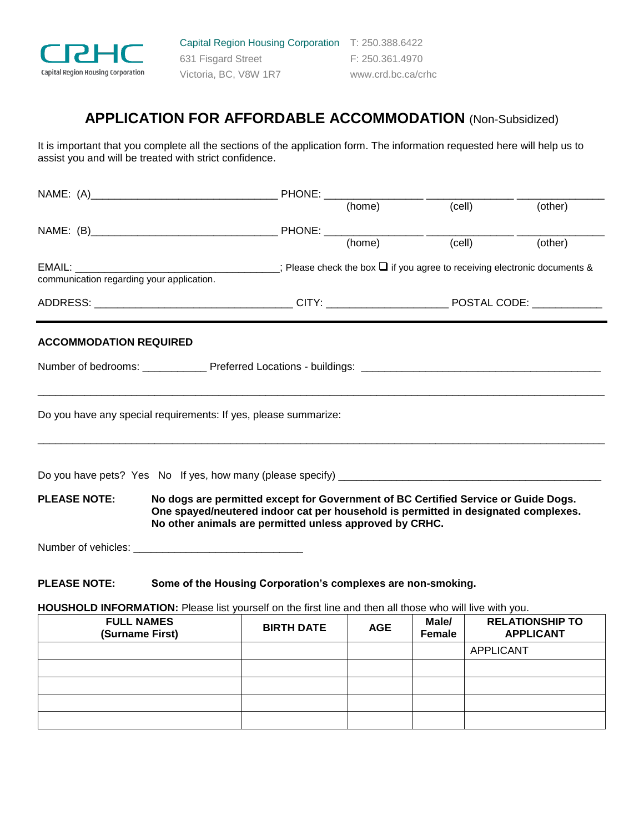

Capital Region Housing Corporation T: 250.388.6422 631 Fisgard Street F: 250.361.4970 Victoria, BC, V8W 1R7 www.crd.bc.ca/crhc

# **APPLICATION FOR AFFORDABLE ACCOMMODATION** (Non-Subsidized)

It is important that you complete all the sections of the application form. The information requested here will help us to assist you and will be treated with strict confidence.

|                                                                                     |                                                                 | PHONE:                                                                                                                                                                                  |            |                 |                  |                                            |
|-------------------------------------------------------------------------------------|-----------------------------------------------------------------|-----------------------------------------------------------------------------------------------------------------------------------------------------------------------------------------|------------|-----------------|------------------|--------------------------------------------|
|                                                                                     |                                                                 |                                                                                                                                                                                         | (home)     | (cell)          |                  | (other)                                    |
|                                                                                     |                                                                 |                                                                                                                                                                                         |            |                 |                  |                                            |
|                                                                                     |                                                                 |                                                                                                                                                                                         |            | (cell)          |                  | (other)                                    |
|                                                                                     |                                                                 | EMAIL: $\Box$ communication regarding your application. $\Box$ ; Please check the box $\Box$ if you agree to receiving electronic documents & communication regarding your application. |            |                 |                  |                                            |
|                                                                                     |                                                                 |                                                                                                                                                                                         |            |                 |                  |                                            |
|                                                                                     |                                                                 |                                                                                                                                                                                         |            |                 |                  |                                            |
| <b>ACCOMMODATION REQUIRED</b>                                                       | Do you have any special requirements: If yes, please summarize: |                                                                                                                                                                                         |            |                 |                  |                                            |
| <b>PLEASE NOTE:</b>                                                                 |                                                                 | No dogs are permitted except for Government of BC Certified Service or Guide Dogs.                                                                                                      |            |                 |                  |                                            |
|                                                                                     |                                                                 | One spayed/neutered indoor cat per household is permitted in designated complexes.<br>No other animals are permitted unless approved by CRHC.                                           |            |                 |                  |                                            |
|                                                                                     |                                                                 |                                                                                                                                                                                         |            |                 |                  |                                            |
| <b>PLEASE NOTE:</b><br>Some of the Housing Corporation's complexes are non-smoking. |                                                                 |                                                                                                                                                                                         |            |                 |                  |                                            |
|                                                                                     |                                                                 | HOUSHOLD INFORMATION: Please list yourself on the first line and then all those who will live with you.                                                                                 |            |                 |                  |                                            |
|                                                                                     | <b>FULL NAMES</b><br>(Surname First)                            | <b>BIRTH DATE</b>                                                                                                                                                                       | <b>AGE</b> | Male/<br>Female |                  | <b>RELATIONSHIP TO</b><br><b>APPLICANT</b> |
|                                                                                     |                                                                 |                                                                                                                                                                                         |            |                 | <b>APPLICANT</b> |                                            |
|                                                                                     |                                                                 |                                                                                                                                                                                         |            |                 |                  |                                            |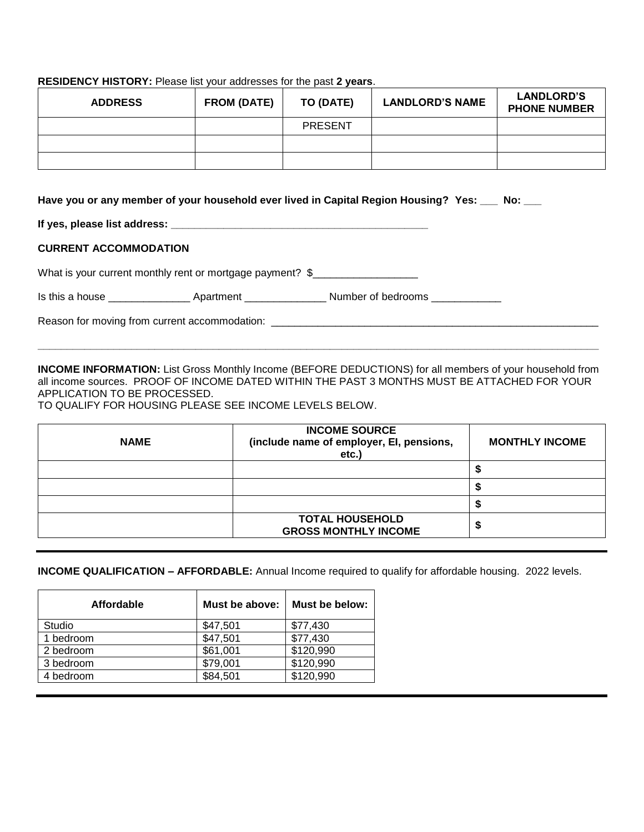## **RESIDENCY HISTORY:** Please list your addresses for the past **2 years**.

| <b>ADDRESS</b> | <b>FROM (DATE)</b> | TO (DATE)      | <b>LANDLORD'S NAME</b> | <b>LANDLORD'S</b><br><b>PHONE NUMBER</b> |
|----------------|--------------------|----------------|------------------------|------------------------------------------|
|                |                    | <b>PRESENT</b> |                        |                                          |
|                |                    |                |                        |                                          |
|                |                    |                |                        |                                          |

#### **Have you or any member of your household ever lived in Capital Region Housing? Yes: \_\_\_ No: \_\_\_**

**If yes, please list address:**  $\blacksquare$ 

## **CURRENT ACCOMMODATION**

What is your current monthly rent or mortgage payment? \$\_\_\_\_\_\_\_\_\_\_\_\_\_\_\_\_\_\_\_\_\_\_\_\_

Is this a house \_\_\_\_\_\_\_\_\_\_\_\_\_\_\_\_\_\_\_\_\_ Apartment \_\_\_\_\_\_\_\_\_\_\_\_\_\_\_\_\_\_\_\_\_\_\_\_Number of bedrooms \_\_\_\_\_\_\_\_\_\_\_\_\_\_

Reason for moving from current accommodation:

**INCOME INFORMATION:** List Gross Monthly Income (BEFORE DEDUCTIONS) for all members of your household from all income sources. PROOF OF INCOME DATED WITHIN THE PAST 3 MONTHS MUST BE ATTACHED FOR YOUR APPLICATION TO BE PROCESSED.

**\_\_\_\_\_\_\_\_\_\_\_\_\_\_\_\_\_\_\_\_\_\_\_\_\_\_\_\_\_\_\_\_\_\_\_\_\_\_\_\_\_\_\_\_\_\_\_\_\_\_\_\_\_\_\_\_\_\_\_\_\_\_\_\_\_\_\_\_\_\_\_\_\_\_\_\_\_\_\_\_\_\_\_\_\_\_\_\_\_\_\_\_\_\_\_\_**

TO QUALIFY FOR HOUSING PLEASE SEE INCOME LEVELS BELOW.

| <b>NAME</b> | <b>INCOME SOURCE</b><br>(include name of employer, EI, pensions,<br>etc. | <b>MONTHLY INCOME</b> |
|-------------|--------------------------------------------------------------------------|-----------------------|
|             |                                                                          |                       |
|             |                                                                          |                       |
|             |                                                                          |                       |
|             | <b>TOTAL HOUSEHOLD</b><br><b>GROSS MONTHLY INCOME</b>                    |                       |

## **INCOME QUALIFICATION – AFFORDABLE:** Annual Income required to qualify for affordable housing. 2022 levels.

| Affordable | Must be above: | Must be below: |
|------------|----------------|----------------|
| Studio     | \$47,501       | \$77,430       |
| 1 bedroom  | \$47,501       | \$77,430       |
| 2 bedroom  | \$61,001       | \$120,990      |
| 3 bedroom  | \$79,001       | \$120,990      |
| 4 bedroom  | \$84,501       | \$120,990      |